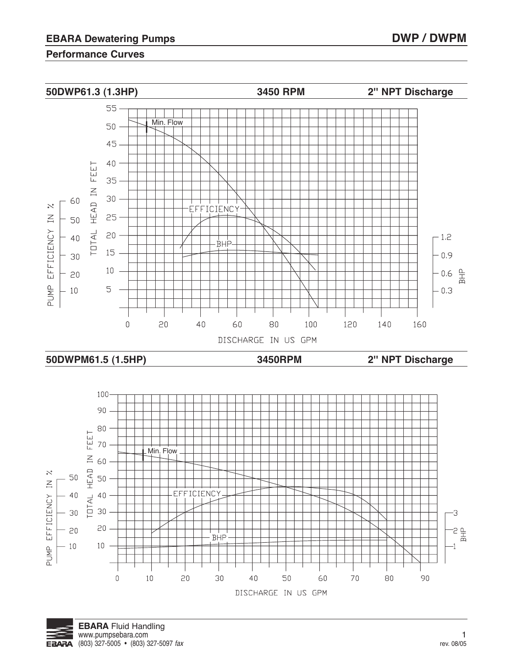

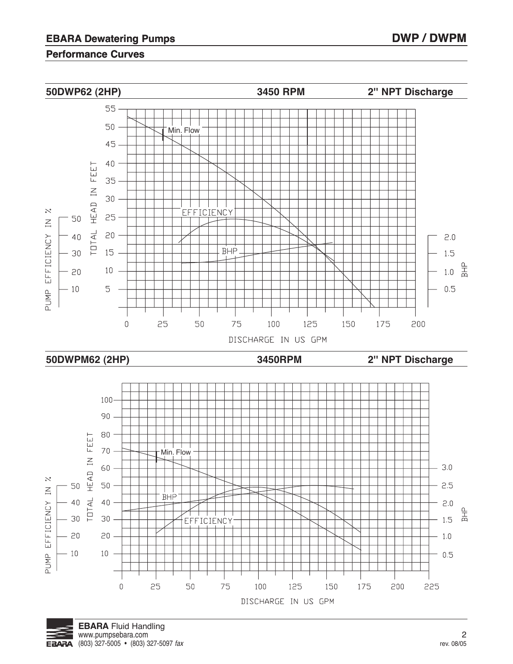

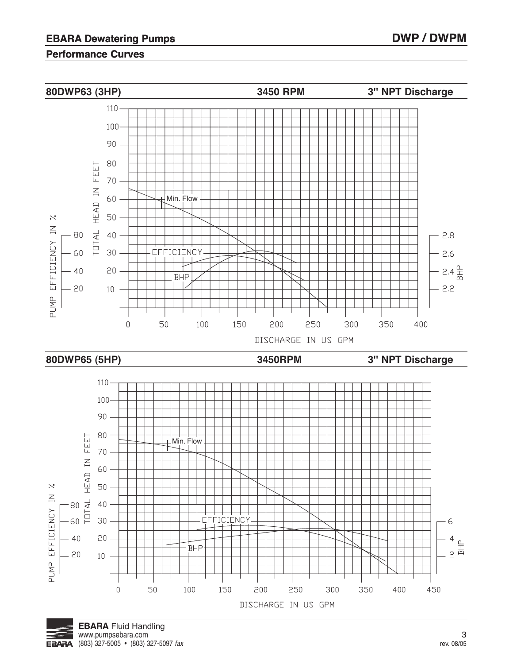

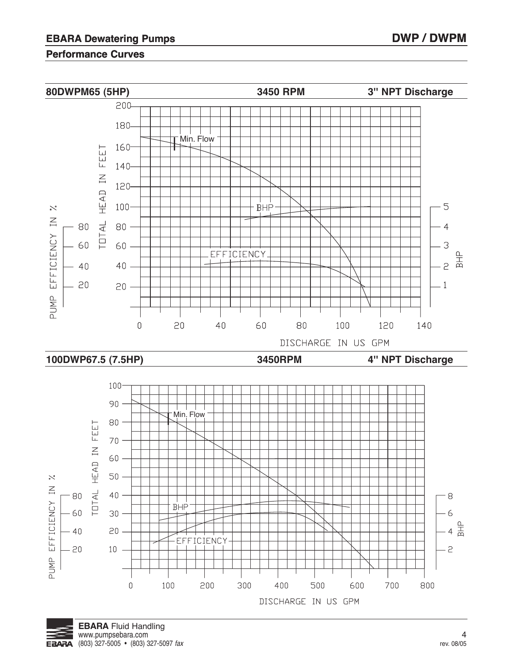

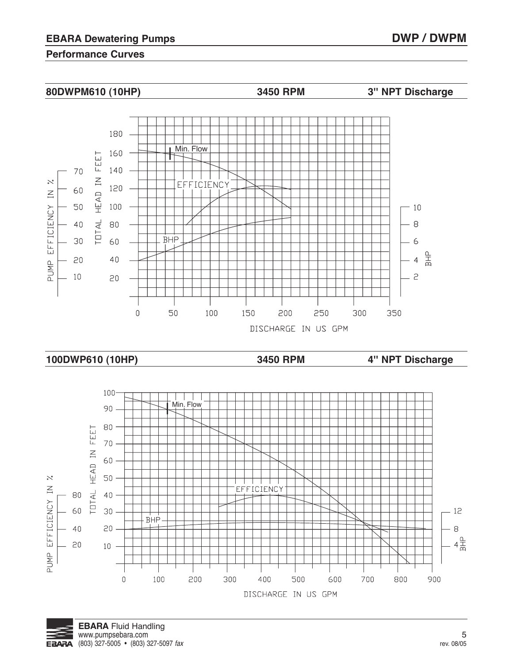





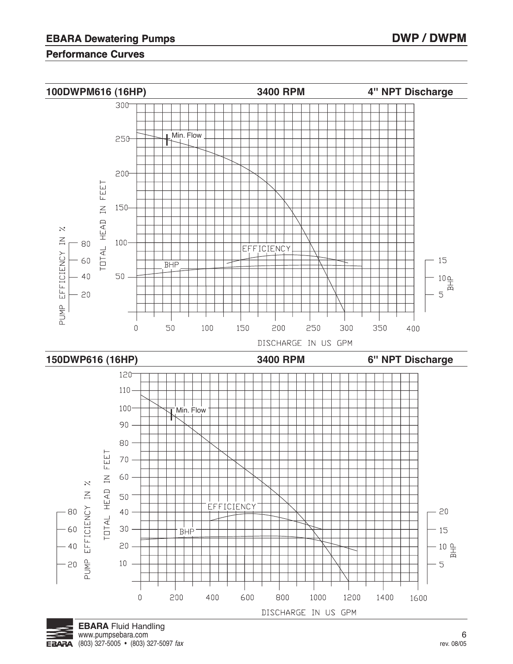

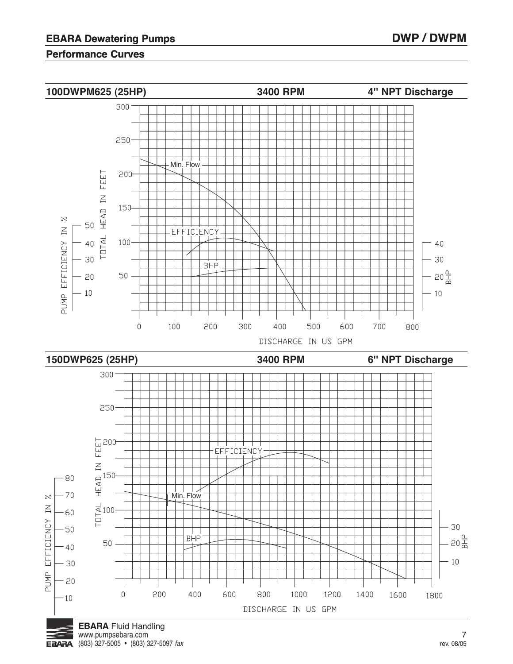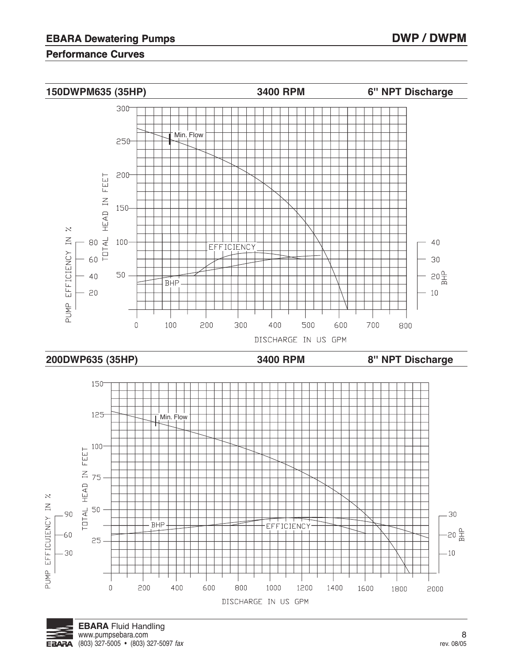